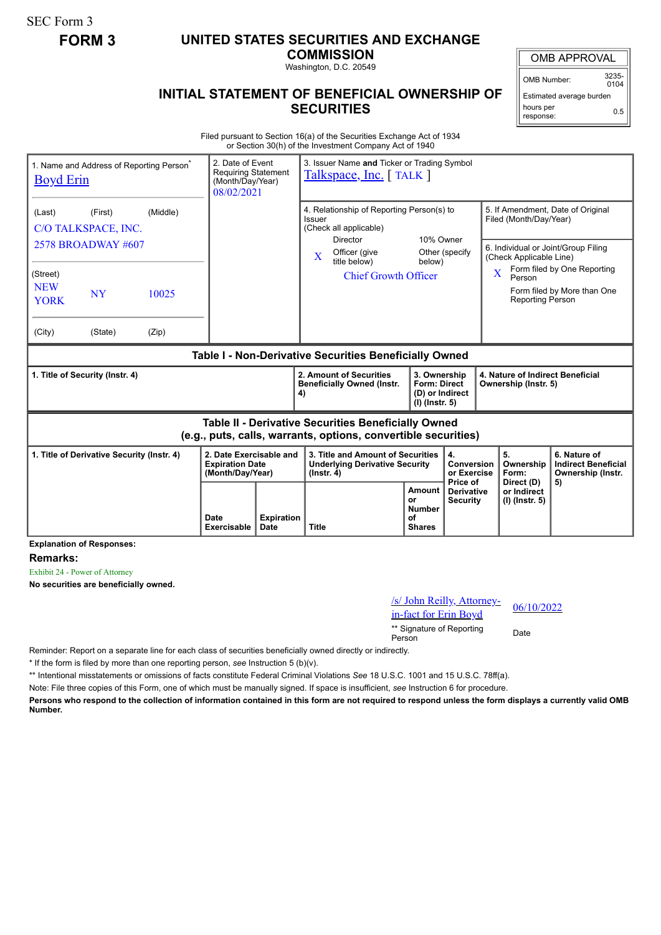SEC Form 3

## **FORM 3 UNITED STATES SECURITIES AND EXCHANGE**

**COMMISSION**

Washington, D.C. 20549

## **INITIAL STATEMENT OF BENEFICIAL OWNERSHIP OF SECURITIES**

OMB APPROVAL

OMB Number: 3235-  $0104$ 

Estimated average burden hours per response: 0.5

Filed pursuant to Section 16(a) of the Securities Exchange Act of 1934 or Section 30(h) of the Investment Company Act of 1940

| 1. Name and Address of Reporting Person <sup>®</sup><br><b>Boyd Erin</b>                                                     |         |       | 2. Date of Event<br><b>Requiring Statement</b><br>(Month/Day/Year)<br>08/02/2021 |                                                                                                  | 3. Issuer Name and Ticker or Trading Symbol<br>Talkspace, Inc. [TALK]                          |                                                                   |                                                      |                                                                                                                                                                                              |                                        |                               |                                                                 |
|------------------------------------------------------------------------------------------------------------------------------|---------|-------|----------------------------------------------------------------------------------|--------------------------------------------------------------------------------------------------|------------------------------------------------------------------------------------------------|-------------------------------------------------------------------|------------------------------------------------------|----------------------------------------------------------------------------------------------------------------------------------------------------------------------------------------------|----------------------------------------|-------------------------------|-----------------------------------------------------------------|
| (Middle)<br>(First)<br>(Last)<br>C/O TALKSPACE, INC.                                                                         |         |       |                                                                                  | 4. Relationship of Reporting Person(s) to<br>Issuer<br>(Check all applicable)<br><b>Director</b> |                                                                                                | 10% Owner                                                         |                                                      | 5. If Amendment, Date of Original<br>Filed (Month/Day/Year)                                                                                                                                  |                                        |                               |                                                                 |
| $2578$ BROADWAY #607<br>(Street)<br><b>NEW</b><br><b>NY</b><br>10025<br><b>YORK</b>                                          |         |       |                                                                                  | X                                                                                                | Officer (give<br>title below)<br><b>Chief Growth Officer</b>                                   |                                                                   | Other (specify<br>below)                             | 6. Individual or Joint/Group Filing<br>(Check Applicable Line)<br>Form filed by One Reporting<br>$\overline{\mathbf{X}}$<br>Person<br>Form filed by More than One<br><b>Reporting Person</b> |                                        |                               |                                                                 |
| (City)                                                                                                                       | (State) | (Zip) |                                                                                  |                                                                                                  |                                                                                                |                                                                   |                                                      |                                                                                                                                                                                              |                                        |                               |                                                                 |
| Table I - Non-Derivative Securities Beneficially Owned                                                                       |         |       |                                                                                  |                                                                                                  |                                                                                                |                                                                   |                                                      |                                                                                                                                                                                              |                                        |                               |                                                                 |
| 1. Title of Security (Instr. 4)                                                                                              |         |       |                                                                                  | 4)                                                                                               | 2. Amount of Securities<br><b>Beneficially Owned (Instr.</b>                                   | 3. Ownership<br>Form: Direct<br>(D) or Indirect<br>(I) (Instr. 5) |                                                      | 4. Nature of Indirect Beneficial<br>Ownership (Instr. 5)                                                                                                                                     |                                        |                               |                                                                 |
| <b>Table II - Derivative Securities Beneficially Owned</b><br>(e.g., puts, calls, warrants, options, convertible securities) |         |       |                                                                                  |                                                                                                  |                                                                                                |                                                                   |                                                      |                                                                                                                                                                                              |                                        |                               |                                                                 |
| 1. Title of Derivative Security (Instr. 4)                                                                                   |         |       | 2. Date Exercisable and<br><b>Expiration Date</b><br>(Month/Day/Year)            |                                                                                                  | 3. Title and Amount of Securities<br><b>Underlying Derivative Security</b><br>$($ lnstr. 4 $)$ |                                                                   | 4.<br><b>Conversion</b><br>or Exercise<br>Price of   |                                                                                                                                                                                              | 5.<br>Ownership<br>Form:<br>Direct (D) |                               | 6. Nature of<br><b>Indirect Beneficial</b><br>Ownership (Instr. |
|                                                                                                                              |         |       | Date<br><b>Exercisable</b>                                                       | <b>Expiration</b><br>Date                                                                        | <b>Title</b>                                                                                   |                                                                   | Amount<br>or<br><b>Number</b><br>οf<br><b>Shares</b> | Derivative<br><b>Security</b>                                                                                                                                                                |                                        | or Indirect<br>(I) (Instr. 5) | 5)                                                              |

**Explanation of Responses:**

**Remarks:**

Exhibit 24 - Power of Attorney

**No securities are beneficially owned.**

## /s/ John Reilly, Attorney- $\frac{1}{2}$  in-fact for Erin Boyd<br>in-fact for Erin Boyd

\*\* Signature of Reporting Person Date

Reminder: Report on a separate line for each class of securities beneficially owned directly or indirectly.

\* If the form is filed by more than one reporting person, *see* Instruction 5 (b)(v).

\*\* Intentional misstatements or omissions of facts constitute Federal Criminal Violations *See* 18 U.S.C. 1001 and 15 U.S.C. 78ff(a).

Note: File three copies of this Form, one of which must be manually signed. If space is insufficient, *see* Instruction 6 for procedure.

**Persons who respond to the collection of information contained in this form are not required to respond unless the form displays a currently valid OMB Number.**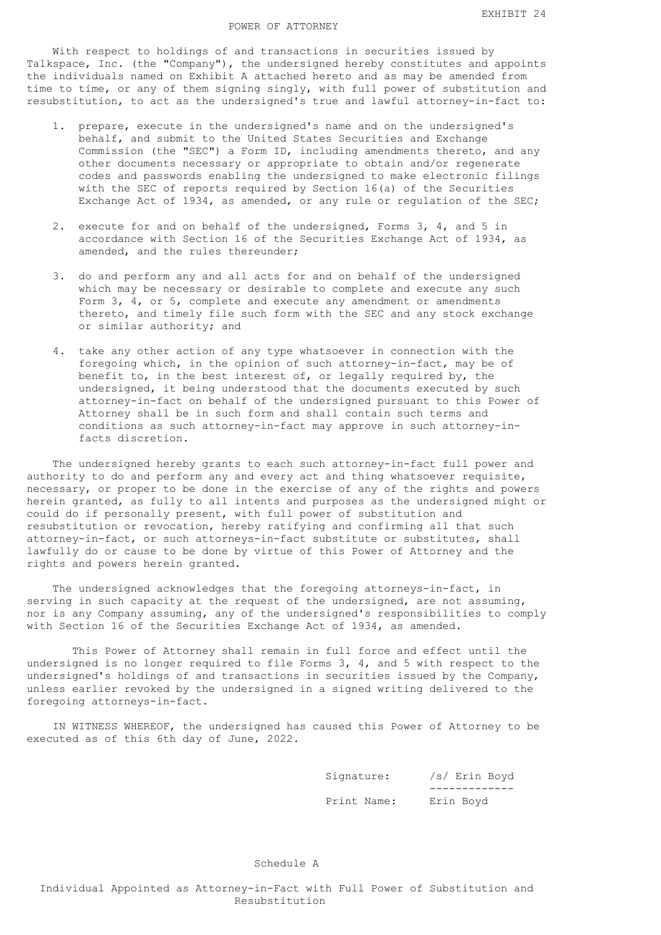## POWER OF ATTORNEY

 With respect to holdings of and transactions in securities issued by Talkspace, Inc. (the "Company"), the undersigned hereby constitutes and appoints the individuals named on Exhibit A attached hereto and as may be amended from time to time, or any of them signing singly, with full power of substitution and resubstitution, to act as the undersigned's true and lawful attorney-in-fact to:

- 1. prepare, execute in the undersigned's name and on the undersigned's behalf, and submit to the United States Securities and Exchange Commission (the "SEC") a Form ID, including amendments thereto, and any other documents necessary or appropriate to obtain and/or regenerate codes and passwords enabling the undersigned to make electronic filings with the SEC of reports required by Section 16(a) of the Securities Exchange Act of 1934, as amended, or any rule or regulation of the SEC;
- 2. execute for and on behalf of the undersigned, Forms 3, 4, and 5 in accordance with Section 16 of the Securities Exchange Act of 1934, as amended, and the rules thereunder;
- 3. do and perform any and all acts for and on behalf of the undersigned which may be necessary or desirable to complete and execute any such Form 3, 4, or 5, complete and execute any amendment or amendments thereto, and timely file such form with the SEC and any stock exchange or similar authority; and
- 4. take any other action of any type whatsoever in connection with the foregoing which, in the opinion of such attorney-in-fact, may be of benefit to, in the best interest of, or legally required by, the undersigned, it being understood that the documents executed by such attorney-in-fact on behalf of the undersigned pursuant to this Power of Attorney shall be in such form and shall contain such terms and conditions as such attorney-in-fact may approve in such attorney-in facts discretion.

 The undersigned hereby grants to each such attorney-in-fact full power and authority to do and perform any and every act and thing whatsoever requisite, necessary, or proper to be done in the exercise of any of the rights and powers herein granted, as fully to all intents and purposes as the undersigned might or could do if personally present, with full power of substitution and resubstitution or revocation, hereby ratifying and confirming all that such attorney-in-fact, or such attorneys-in-fact substitute or substitutes, shall lawfully do or cause to be done by virtue of this Power of Attorney and the rights and powers herein granted.

 The undersigned acknowledges that the foregoing attorneys-in-fact, in serving in such capacity at the request of the undersigned, are not assuming, nor is any Company assuming, any of the undersigned's responsibilities to comply with Section 16 of the Securities Exchange Act of 1934, as amended.

 This Power of Attorney shall remain in full force and effect until the undersigned is no longer required to file Forms 3, 4, and 5 with respect to the undersigned's holdings of and transactions in securities issued by the Company, unless earlier revoked by the undersigned in a signed writing delivered to the foregoing attorneys-in-fact.

 IN WITNESS WHEREOF, the undersigned has caused this Power of Attorney to be executed as of this 6th day of June, 2022.

 Signature: /s/ Erin Boyd ------------- Print Name: Erin Boyd